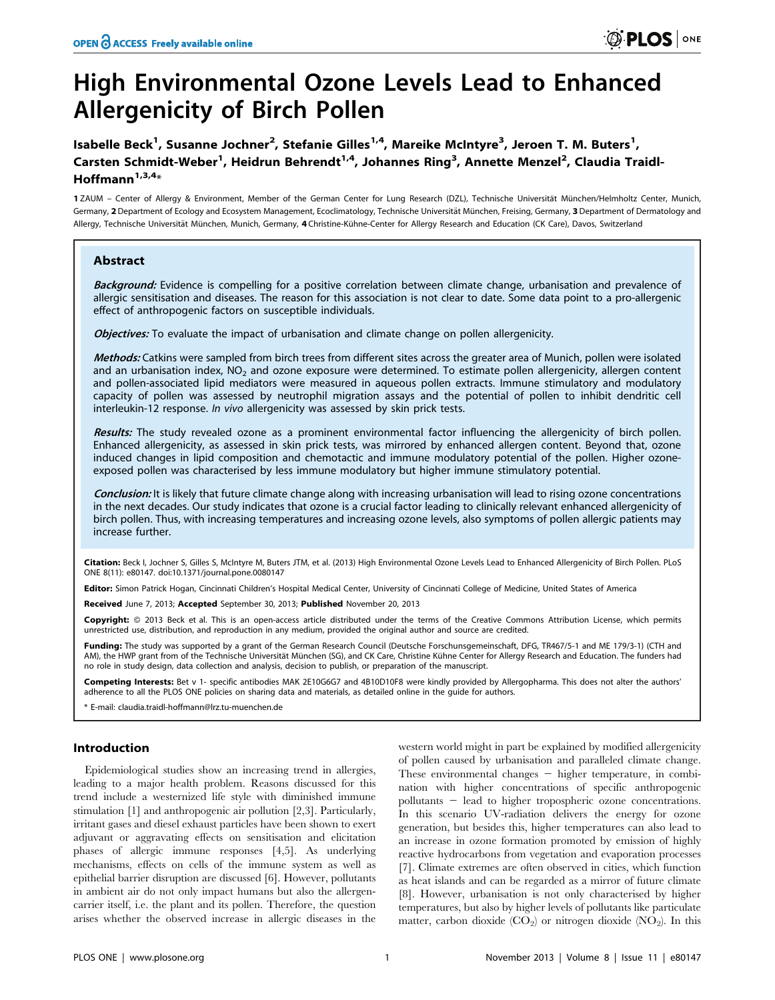# High Environmental Ozone Levels Lead to Enhanced Allergenicity of Birch Pollen

Isabelle Beck<sup>1</sup>, Susanne Jochner<sup>2</sup>, Stefanie Gilles<sup>1,4</sup>, Mareike McIntyre<sup>3</sup>, Jeroen T. M. Buters<sup>1</sup>, Carsten Schmidt-Weber<sup>1</sup>, Heidrun Behrendt<sup>1,4</sup>, Johannes Ring<sup>3</sup>, Annette Menzel<sup>2</sup>, Claudia Traidl-Hoffmann $1,3,4$ \*

1 ZAUM - Center of Allergy & Environment, Member of the German Center for Lung Research (DZL), Technische Universität München/Helmholtz Center, Munich, Germany, 2 Department of Ecology and Ecosystem Management, Ecoclimatology, Technische Universität München, Freising, Germany, 3 Department of Dermatology and Allergy, Technische Universität München, Munich, Germany, 4 Christine-Kühne-Center for Allergy Research and Education (CK Care), Davos, Switzerland

# Abstract

Background: Evidence is compelling for a positive correlation between climate change, urbanisation and prevalence of allergic sensitisation and diseases. The reason for this association is not clear to date. Some data point to a pro-allergenic effect of anthropogenic factors on susceptible individuals.

Objectives: To evaluate the impact of urbanisation and climate change on pollen allergenicity.

Methods: Catkins were sampled from birch trees from different sites across the greater area of Munich, pollen were isolated and an urbanisation index,  $NO<sub>2</sub>$  and ozone exposure were determined. To estimate pollen allergenicity, allergen content and pollen-associated lipid mediators were measured in aqueous pollen extracts. Immune stimulatory and modulatory capacity of pollen was assessed by neutrophil migration assays and the potential of pollen to inhibit dendritic cell interleukin-12 response. In vivo allergenicity was assessed by skin prick tests.

Results: The study revealed ozone as a prominent environmental factor influencing the allergenicity of birch pollen. Enhanced allergenicity, as assessed in skin prick tests, was mirrored by enhanced allergen content. Beyond that, ozone induced changes in lipid composition and chemotactic and immune modulatory potential of the pollen. Higher ozoneexposed pollen was characterised by less immune modulatory but higher immune stimulatory potential.

Conclusion: It is likely that future climate change along with increasing urbanisation will lead to rising ozone concentrations in the next decades. Our study indicates that ozone is a crucial factor leading to clinically relevant enhanced allergenicity of birch pollen. Thus, with increasing temperatures and increasing ozone levels, also symptoms of pollen allergic patients may increase further.

Citation: Beck I, Jochner S, Gilles S, McIntyre M, Buters JTM, et al. (2013) High Environmental Ozone Levels Lead to Enhanced Allergenicity of Birch Pollen. PLoS ONE 8(11): e80147. doi:10.1371/journal.pone.0080147

Editor: Simon Patrick Hogan, Cincinnati Children's Hospital Medical Center, University of Cincinnati College of Medicine, United States of America

Received June 7, 2013; Accepted September 30, 2013; Published November 20, 2013

Copyright: © 2013 Beck et al. This is an open-access article distributed under the terms of the Creative Commons Attribution License, which permits unrestricted use, distribution, and reproduction in any medium, provided the original author and source are credited.

Funding: The study was supported by a grant of the German Research Council (Deutsche Forschunsgemeinschaft, DFG, TR467/5-1 and ME 179/3-1) (CTH and AM), the HWP grant from of the Technische Universität München (SG), and CK Care, Christine Kühne Center for Allergy Research and Education. The funders had no role in study design, data collection and analysis, decision to publish, or preparation of the manuscript.

Competing Interests: Bet v 1- specific antibodies MAK 2E10G6G7 and 4B10D10F8 were kindly provided by Allergopharma. This does not alter the authors' adherence to all the PLOS ONE policies on sharing data and materials, as detailed online in the guide for authors.

\* E-mail: claudia.traidl-hoffmann@lrz.tu-muenchen.de

#### Introduction

Epidemiological studies show an increasing trend in allergies, leading to a major health problem. Reasons discussed for this trend include a westernized life style with diminished immune stimulation [1] and anthropogenic air pollution [2,3]. Particularly, irritant gases and diesel exhaust particles have been shown to exert adjuvant or aggravating effects on sensitisation and elicitation phases of allergic immune responses [4,5]. As underlying mechanisms, effects on cells of the immune system as well as epithelial barrier disruption are discussed [6]. However, pollutants in ambient air do not only impact humans but also the allergencarrier itself, i.e. the plant and its pollen. Therefore, the question arises whether the observed increase in allergic diseases in the

western world might in part be explained by modified allergenicity of pollen caused by urbanisation and paralleled climate change. These environmental changes  $-$  higher temperature, in combination with higher concentrations of specific anthropogenic pollutants  $-$  lead to higher tropospheric ozone concentrations. In this scenario UV-radiation delivers the energy for ozone generation, but besides this, higher temperatures can also lead to an increase in ozone formation promoted by emission of highly reactive hydrocarbons from vegetation and evaporation processes [7]. Climate extremes are often observed in cities, which function as heat islands and can be regarded as a mirror of future climate [8]. However, urbanisation is not only characterised by higher temperatures, but also by higher levels of pollutants like particulate matter, carbon dioxide  $(CO_2)$  or nitrogen dioxide  $(NO_2)$ . In this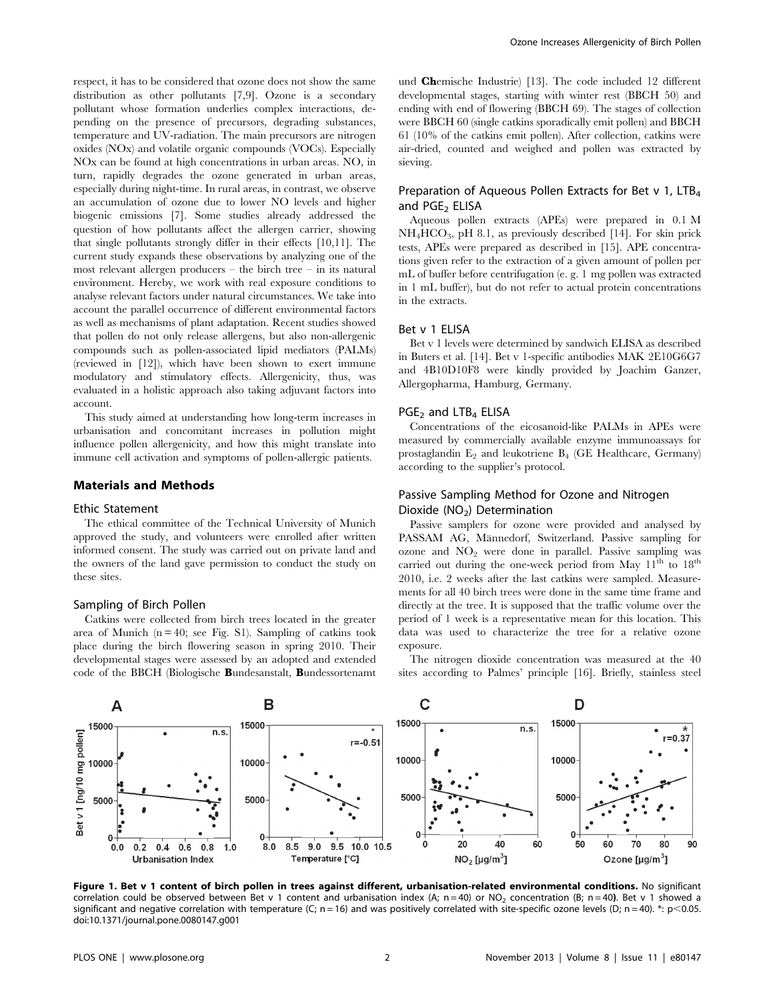respect, it has to be considered that ozone does not show the same distribution as other pollutants [7,9]. Ozone is a secondary pollutant whose formation underlies complex interactions, depending on the presence of precursors, degrading substances, temperature and UV-radiation. The main precursors are nitrogen oxides (NOx) and volatile organic compounds (VOCs). Especially NOx can be found at high concentrations in urban areas. NO, in turn, rapidly degrades the ozone generated in urban areas, especially during night-time. In rural areas, in contrast, we observe an accumulation of ozone due to lower NO levels and higher biogenic emissions [7]. Some studies already addressed the question of how pollutants affect the allergen carrier, showing that single pollutants strongly differ in their effects [10,11]. The current study expands these observations by analyzing one of the most relevant allergen producers – the birch tree – in its natural environment. Hereby, we work with real exposure conditions to analyse relevant factors under natural circumstances. We take into account the parallel occurrence of different environmental factors as well as mechanisms of plant adaptation. Recent studies showed that pollen do not only release allergens, but also non-allergenic compounds such as pollen-associated lipid mediators (PALMs) (reviewed in [12]), which have been shown to exert immune modulatory and stimulatory effects. Allergenicity, thus, was evaluated in a holistic approach also taking adjuvant factors into account.

This study aimed at understanding how long-term increases in urbanisation and concomitant increases in pollution might influence pollen allergenicity, and how this might translate into immune cell activation and symptoms of pollen-allergic patients.

## Materials and Methods

#### Ethic Statement

The ethical committee of the Technical University of Munich approved the study, and volunteers were enrolled after written informed consent. The study was carried out on private land and the owners of the land gave permission to conduct the study on these sites.

#### Sampling of Birch Pollen

Catkins were collected from birch trees located in the greater area of Munich  $(n = 40; \text{ see Fig. S1}).$  Sampling of catkins took place during the birch flowering season in spring 2010. Their developmental stages were assessed by an adopted and extended code of the BBCH (Biologische Bundesanstalt, Bundessortenamt und Chemische Industrie) [13]. The code included 12 different developmental stages, starting with winter rest (BBCH 50) and ending with end of flowering (BBCH 69). The stages of collection were BBCH 60 (single catkins sporadically emit pollen) and BBCH 61 (10% of the catkins emit pollen). After collection, catkins were air-dried, counted and weighed and pollen was extracted by sieving.

# Preparation of Aqueous Pollen Extracts for Bet v 1, LTB<sub>4</sub> and PGE<sub>2</sub> ELISA

Aqueous pollen extracts (APEs) were prepared in 0.1 M  $NH<sub>4</sub>HCO<sub>3</sub>$ , pH 8.1, as previously described [14]. For skin prick tests, APEs were prepared as described in [15]. APE concentrations given refer to the extraction of a given amount of pollen per mL of buffer before centrifugation (e. g. 1 mg pollen was extracted in 1 mL buffer), but do not refer to actual protein concentrations in the extracts.

# Bet v 1 ELISA

Bet v 1 levels were determined by sandwich ELISA as described in Buters et al. [14]. Bet v 1-specific antibodies MAK 2E10G6G7 and 4B10D10F8 were kindly provided by Joachim Ganzer, Allergopharma, Hamburg, Germany.

#### PGE<sub>2</sub> and LTB<sub>4</sub> ELISA

Concentrations of the eicosanoid-like PALMs in APEs were measured by commercially available enzyme immunoassays for prostaglandin  $E_2$  and leukotriene  $B_4$  (GE Healthcare, Germany) according to the supplier's protocol.

# Passive Sampling Method for Ozone and Nitrogen Dioxide  $(NO<sub>2</sub>)$  Determination

Passive samplers for ozone were provided and analysed by PASSAM AG, Männedorf, Switzerland. Passive sampling for ozone and  $NO<sub>2</sub>$  were done in parallel. Passive sampling was carried out during the one-week period from May  $11^{\text{th}}$  to  $18^{\text{th}}$ 2010, i.e. 2 weeks after the last catkins were sampled. Measurements for all 40 birch trees were done in the same time frame and directly at the tree. It is supposed that the traffic volume over the period of 1 week is a representative mean for this location. This data was used to characterize the tree for a relative ozone exposure.

The nitrogen dioxide concentration was measured at the 40 sites according to Palmes' principle [16]. Briefly, stainless steel



Figure 1. Bet v 1 content of birch pollen in trees against different, urbanisation-related environmental conditions. No significant correlation could be observed between Bet v 1 content and urbanisation index (A;  $n=40$ ) or NO<sub>2</sub> concentration (B;  $n=40$ ). Bet v 1 showed a significant and negative correlation with temperature (C; n = 16) and was positively correlated with site-specific ozone levels (D; n = 40). \*: p<0.05. doi:10.1371/journal.pone.0080147.g001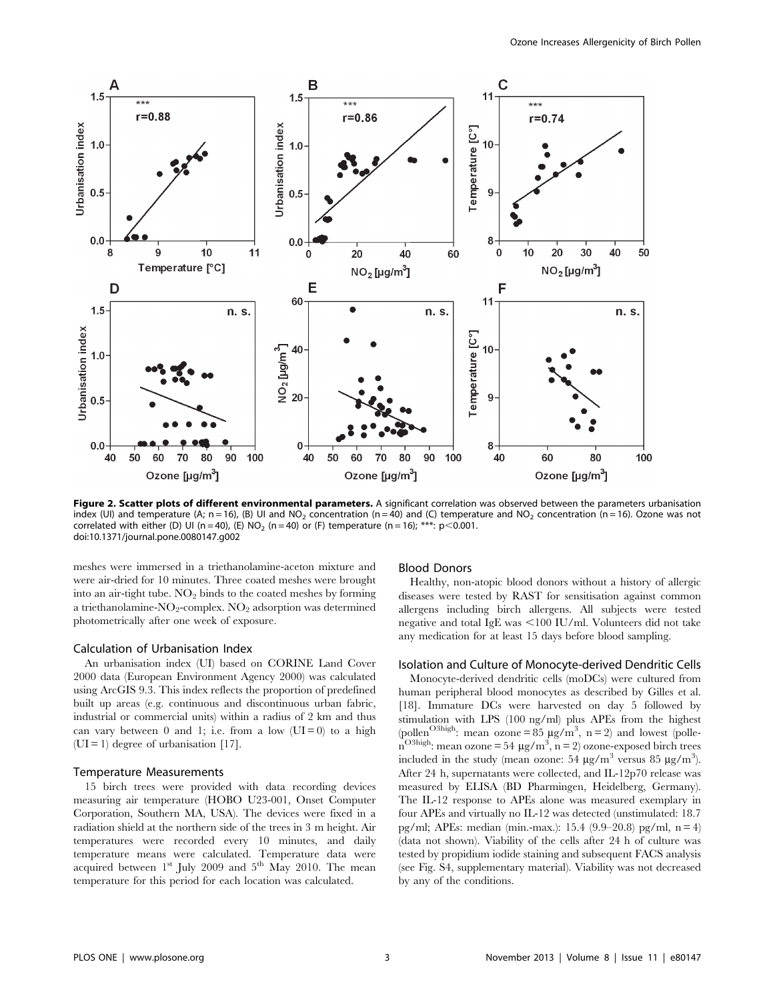

Figure 2. Scatter plots of different environmental parameters. A significant correlation was observed between the parameters urbanisation index (UI) and temperature (A; n = 16), (B) UI and NO<sub>2</sub> concentration (n = 40) and (C) temperature and NO<sub>2</sub> concentration (n = 16). Ozone was not correlated with either (D) UI (n = 40), (E) NO<sub>2</sub> (n = 40) or (F) temperature (n = 16); \*\*\*: p<0.001. doi:10.1371/journal.pone.0080147.g002

meshes were immersed in a triethanolamine-aceton mixture and were air-dried for 10 minutes. Three coated meshes were brought into an air-tight tube.  $NO<sub>2</sub>$  binds to the coated meshes by forming a triethanolamine- $NO_2$ -complex.  $NO_2$  adsorption was determined photometrically after one week of exposure.

#### Calculation of Urbanisation Index

An urbanisation index (UI) based on CORINE Land Cover 2000 data (European Environment Agency 2000) was calculated using ArcGIS 9.3. This index reflects the proportion of predefined built up areas (e.g. continuous and discontinuous urban fabric, industrial or commercial units) within a radius of 2 km and thus can vary between 0 and 1; i.e. from a low  $(UI = 0)$  to a high  $(UI = 1)$  degree of urbanisation [17].

#### Temperature Measurements

15 birch trees were provided with data recording devices measuring air temperature (HOBO U23-001, Onset Computer Corporation, Southern MA, USA). The devices were fixed in a radiation shield at the northern side of the trees in 3 m height. Air temperatures were recorded every 10 minutes, and daily temperature means were calculated. Temperature data were acquired between  $1<sup>st</sup>$  July 2009 and  $5<sup>th</sup>$  May 2010. The mean temperature for this period for each location was calculated.

#### Blood Donors

Healthy, non-atopic blood donors without a history of allergic diseases were tested by RAST for sensitisation against common allergens including birch allergens. All subjects were tested negative and total IgE was  $\leq$ 100 IU/ml. Volunteers did not take any medication for at least 15 days before blood sampling.

## Isolation and Culture of Monocyte-derived Dendritic Cells

Monocyte-derived dendritic cells (moDCs) were cultured from human peripheral blood monocytes as described by Gilles et al. [18]. Immature DCs were harvested on day 5 followed by stimulation with LPS (100 ng/ml) plus APEs from the highest (pollen<sup>O3high</sup>: mean ozone = 85  $\mu$ g/m<sup>3</sup>, n = 2) and lowest (polle- $\overline{n}^{\text{O3high}}$ : mean ozone = 54 µg/m<sup>3</sup>, n = 2) ozone-exposed birch trees included in the study (mean ozone:  $54 \mu g/m^3$  versus  $85 \mu g/m^3$ ). After 24 h, supernatants were collected, and IL-12p70 release was measured by ELISA (BD Pharmingen, Heidelberg, Germany). The IL-12 response to APEs alone was measured exemplary in four APEs and virtually no IL-12 was detected (unstimulated: 18.7 pg/ml; APEs: median (min.-max.): 15.4 (9.9–20.8) pg/ml,  $n = 4$ ) (data not shown). Viability of the cells after 24 h of culture was tested by propidium iodide staining and subsequent FACS analysis (see Fig. S4, supplementary material). Viability was not decreased by any of the conditions.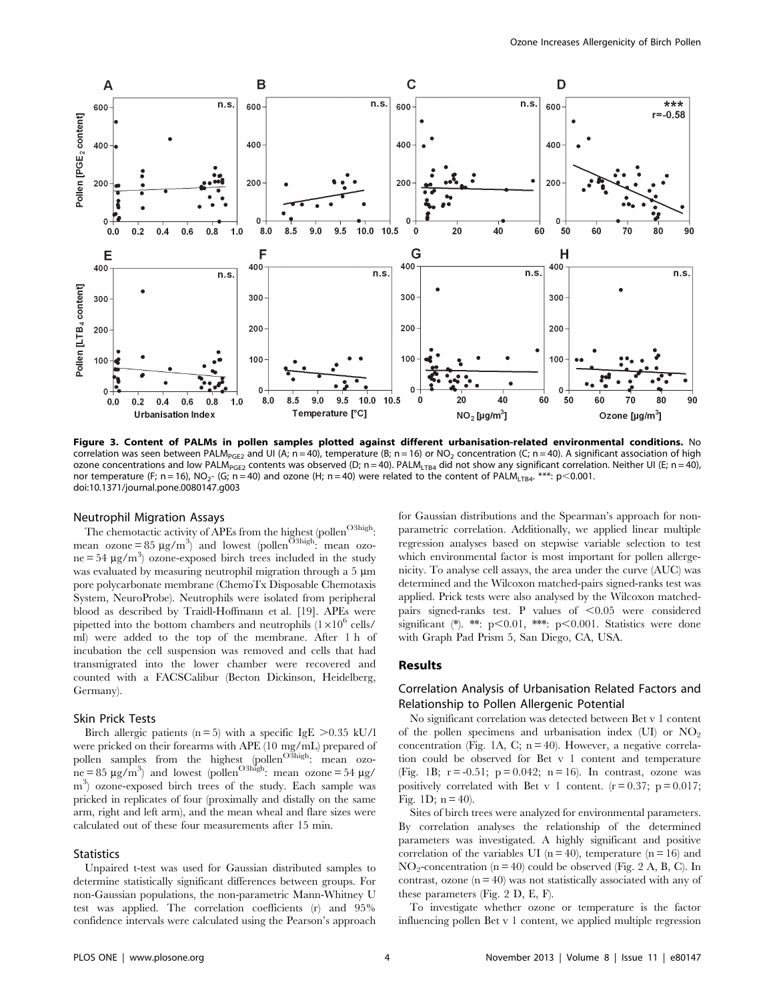

Figure 3. Content of PALMs in pollen samples plotted against different urbanisation-related environmental conditions. No correlation was seen between PALM<sub>PGE2</sub> and UI (A; n = 40), temperature (B; n = 16) or NO<sub>2</sub> concentration (C; n = 40). A significant association of high ozone concentrations and low PALM<sub>PGE2</sub> contents was observed (D; n = 40). PALM<sub>LTB4</sub> did not show any significant correlation. Neither UI (E; n = 40), nor temperature (F; n = 16), NO<sub>2</sub>- (G; n = 40) and ozone (H; n = 40) were related to the content of PALM<sub>ITB4</sub>. \*\*\*: p<0.001. doi:10.1371/journal.pone.0080147.g003

#### Neutrophil Migration Assays

The chemotactic activity of APEs from the highest (pollen<sup>O3high</sup>: mean ozone = 85  $\mu$ g/m<sup>3</sup>) and lowest (pollen<sup>O3high</sup>: mean ozo $ne = 54 \mu g/m^3$  ozone-exposed birch trees included in the study was evaluated by measuring neutrophil migration through a  $5 \mu m$ pore polycarbonate membrane (ChemoTx Disposable Chemotaxis System, NeuroProbe). Neutrophils were isolated from peripheral blood as described by Traidl-Hoffmann et al. [19]. APEs were pipetted into the bottom chambers and neutrophils  $(1\times10^6 \text{ cells/}$ ml) were added to the top of the membrane. After 1 h of incubation the cell suspension was removed and cells that had transmigrated into the lower chamber were recovered and counted with a FACSCalibur (Becton Dickinson, Heidelberg, Germany).

#### Skin Prick Tests

Birch allergic patients (n = 5) with a specific IgE  $>0.35$  kU/l were pricked on their forearms with APE (10 mg/mL) prepared of pollen samples from the highest (pollen<sup>O3high</sup>: mean ozo- $\ln e = 85 \mu g/m^3$  and lowest (pollen<sup>O3high</sup>: mean ozone = 54  $\mu$ g/ m3 ) ozone-exposed birch trees of the study. Each sample was pricked in replicates of four (proximally and distally on the same arm, right and left arm), and the mean wheal and flare sizes were calculated out of these four measurements after 15 min.

## **Statistics**

Unpaired t-test was used for Gaussian distributed samples to determine statistically significant differences between groups. For non-Gaussian populations, the non-parametric Mann-Whitney U test was applied. The correlation coefficients (r) and 95% confidence intervals were calculated using the Pearson's approach for Gaussian distributions and the Spearman's approach for nonparametric correlation. Additionally, we applied linear multiple regression analyses based on stepwise variable selection to test which environmental factor is most important for pollen allergenicity. To analyse cell assays, the area under the curve (AUC) was determined and the Wilcoxon matched-pairs signed-ranks test was applied. Prick tests were also analysed by the Wilcoxon matchedpairs signed-ranks test. P values of  $< 0.05$  were considered significant (\*). \*\*:  $p<0.01$ , \*\*\*:  $p<0.001$ . Statistics were done with Graph Pad Prism 5, San Diego, CA, USA.

#### Results

# Correlation Analysis of Urbanisation Related Factors and Relationship to Pollen Allergenic Potential

No significant correlation was detected between Bet v 1 content of the pollen specimens and urbanisation index (UI) or  $NO<sub>2</sub>$ concentration (Fig. 1A, C;  $n = 40$ ). However, a negative correlation could be observed for Bet v 1 content and temperature (Fig. 1B;  $r = -0.51$ ;  $p = 0.042$ ;  $n = 16$ ). In contrast, ozone was positively correlated with Bet v 1 content.  $(r=0.37; p=0.017;$ Fig. 1D;  $n = 40$ ).

Sites of birch trees were analyzed for environmental parameters. By correlation analyses the relationship of the determined parameters was investigated. A highly significant and positive correlation of the variables UI ( $n = 40$ ), temperature ( $n = 16$ ) and  $NO<sub>2</sub>$ -concentration (n = 40) could be observed (Fig. 2 A, B, C). In contrast, ozone  $(n = 40)$  was not statistically associated with any of these parameters (Fig. 2 D, E, F).

To investigate whether ozone or temperature is the factor influencing pollen Bet v 1 content, we applied multiple regression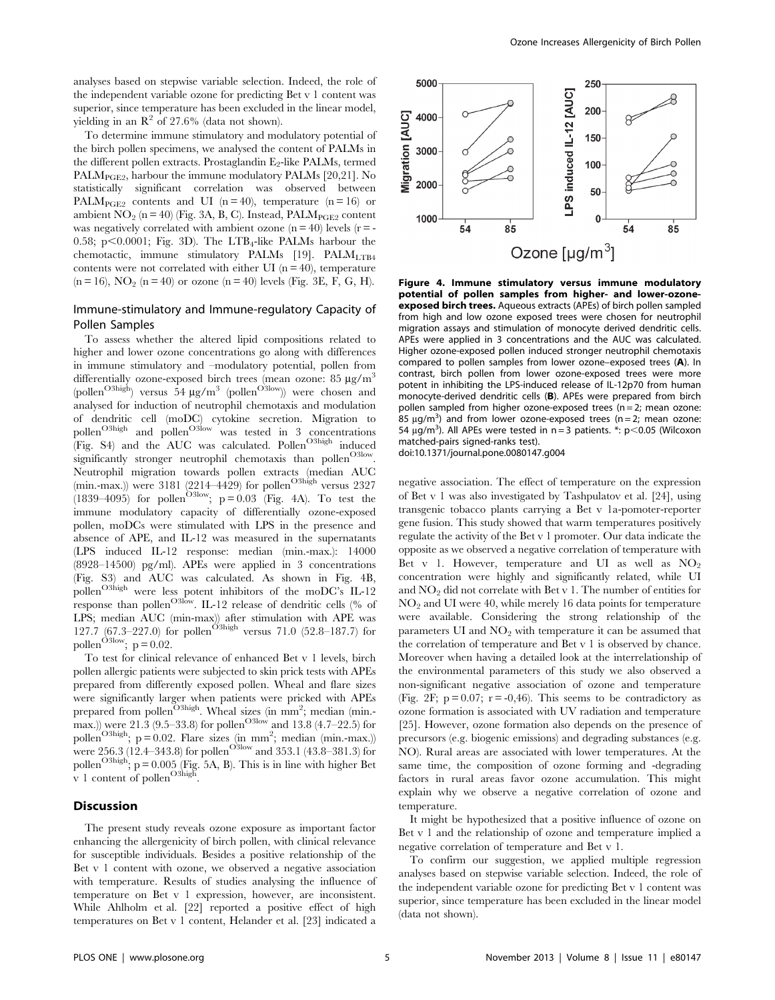analyses based on stepwise variable selection. Indeed, the role of the independent variable ozone for predicting Bet v 1 content was superior, since temperature has been excluded in the linear model, yielding in an  $\mathbb{R}^2$  of 27.6% (data not shown).

To determine immune stimulatory and modulatory potential of the birch pollen specimens, we analysed the content of PALMs in the different pollen extracts. Prostaglandin  $E_2$ -like PALMs, termed PALM<sub>PGE2</sub>, harbour the immune modulatory PALMs [20,21]. No statistically significant correlation was observed between PALM<sub>PGE2</sub> contents and UI (n = 40), temperature (n = 16) or ambient  $NO_2$  (n = 40) (Fig. 3A, B, C). Instead, PAL $M<sub>PGE2</sub>$  content was negatively correlated with ambient ozone  $(n = 40)$  levels  $(r = -1)$ 0.58; p $\leq$ 0.0001; Fig. 3D). The LTB<sub>4</sub>-like PALMs harbour the chemotactic, immune stimulatory PALMs  $[19]$ . PALM<sub>LTB4</sub> contents were not correlated with either UI ( $n = 40$ ), temperature  $(n = 16)$ ,  $NO_2$   $(n = 40)$  or ozone  $(n = 40)$  levels (Fig. 3E, F, G, H).

# Immune-stimulatory and Immune-regulatory Capacity of Pollen Samples

To assess whether the altered lipid compositions related to higher and lower ozone concentrations go along with differences in immune stimulatory and –modulatory potential, pollen from differentially ozone-exposed birch trees (mean ozone: 85 µg/m<sup>3</sup> (pollen<sup>O3high</sup>) versus  $54 \mu g/m^3$  (pollen<sup>O3low</sup>)) were chosen and analysed for induction of neutrophil chemotaxis and modulation of dendritic cell (moDC) cytokine secretion. Migration to pollen<sup>O3high</sup> and pollen<sup>O3low</sup> was tested in 3 concentrations (Fig. S4) and the AUC was calculated. Pollen<sup>O3high</sup> induced significantly stronger neutrophil chemotaxis than pollen<sup>O3low</sup>. Neutrophil migration towards pollen extracts (median AUC (min.-max.)) were  $3181$  (2214–4429) for pollen<sup>O3high</sup> versus 2327 (1839–4095) for pollen<sup>O3low</sup>;  $p = 0.03$  (Fig. 4A). To test the immune modulatory capacity of differentially ozone-exposed pollen, moDCs were stimulated with LPS in the presence and absence of APE, and IL-12 was measured in the supernatants (LPS induced IL-12 response: median (min.-max.): 14000 (8928–14500) pg/ml). APEs were applied in 3 concentrations (Fig. S3) and AUC was calculated. As shown in Fig. 4B, pollen<sup>O3high</sup> were less potent inhibitors of the moDC's IL-12 response than pollen<sup>O3low</sup>. IL-12 release of dendritic cells (% of LPS; median AUC (min-max)) after stimulation with APE was 127.7 (67.3–227.0) for pollen<sup>O3high</sup> versus 71.0 (52.8–187.7) for pollen<sup>O3low</sup>;  $p = 0.02$ .

To test for clinical relevance of enhanced Bet v 1 levels, birch pollen allergic patients were subjected to skin prick tests with APEs prepared from differently exposed pollen. Wheal and flare sizes were significantly larger when patients were pricked with APEs prepared from pollen<sup>O3high</sup>. Wheal sizes (in mm<sup>2</sup>; median (min.max.)) were 21.3 (9.5–33.8) for pollen<sup>O3low</sup> and 13.8 (4.7–22.5) for pollen<sup>O3high</sup>;  $p = 0.02$ . Flare sizes (in mm<sup>2</sup>; median (min.-max.)) were 256.3 (12.4–343.8) for pollen<sup>O3low</sup> and 353.1 (43.8–381.3) for pollen<sup>O3high</sup>;  $p = 0.005$  (Fig. 5A, B). This is in line with higher Bet v 1 content of pollen<sup>O3high</sup>.

# Discussion

The present study reveals ozone exposure as important factor enhancing the allergenicity of birch pollen, with clinical relevance for susceptible individuals. Besides a positive relationship of the Bet v 1 content with ozone, we observed a negative association with temperature. Results of studies analysing the influence of temperature on Bet v 1 expression, however, are inconsistent. While Ahlholm et al. [22] reported a positive effect of high temperatures on Bet v 1 content, Helander et al. [23] indicated a



Figure 4. Immune stimulatory versus immune modulatory potential of pollen samples from higher- and lower-ozoneexposed birch trees. Aqueous extracts (APEs) of birch pollen sampled from high and low ozone exposed trees were chosen for neutrophil migration assays and stimulation of monocyte derived dendritic cells. APEs were applied in 3 concentrations and the AUC was calculated. Higher ozone-exposed pollen induced stronger neutrophil chemotaxis compared to pollen samples from lower ozone–exposed trees (A). In contrast, birch pollen from lower ozone-exposed trees were more potent in inhibiting the LPS-induced release of IL-12p70 from human monocyte-derived dendritic cells (B). APEs were prepared from birch pollen sampled from higher ozone-exposed trees ( $n = 2$ ; mean ozone:  $85 \mu g/m^3$ ) and from lower ozone-exposed trees (n = 2; mean ozone: 54  $\mu$ g/m<sup>3</sup>). All APEs were tested in n = 3 patients. \*: p<0.05 (Wilcoxon matched-pairs signed-ranks test). doi:10.1371/journal.pone.0080147.g004

negative association. The effect of temperature on the expression of Bet v 1 was also investigated by Tashpulatov et al. [24], using transgenic tobacco plants carrying a Bet v 1a-pomoter-reporter gene fusion. This study showed that warm temperatures positively regulate the activity of the Bet v 1 promoter. Our data indicate the opposite as we observed a negative correlation of temperature with Bet v 1. However, temperature and UI as well as  $NO<sub>2</sub>$ concentration were highly and significantly related, while UI and  $NO<sub>2</sub>$  did not correlate with Bet v 1. The number of entities for  $NO<sub>2</sub>$  and UI were 40, while merely 16 data points for temperature were available. Considering the strong relationship of the parameters  $UI$  and  $NO<sub>2</sub>$  with temperature it can be assumed that the correlation of temperature and Bet v 1 is observed by chance. Moreover when having a detailed look at the interrelationship of the environmental parameters of this study we also observed a non-significant negative association of ozone and temperature (Fig. 2F;  $p = 0.07$ ;  $r = -0.46$ ). This seems to be contradictory as ozone formation is associated with UV radiation and temperature [25]. However, ozone formation also depends on the presence of precursors (e.g. biogenic emissions) and degrading substances (e.g. NO). Rural areas are associated with lower temperatures. At the same time, the composition of ozone forming and -degrading factors in rural areas favor ozone accumulation. This might explain why we observe a negative correlation of ozone and temperature.

It might be hypothesized that a positive influence of ozone on Bet v 1 and the relationship of ozone and temperature implied a negative correlation of temperature and Bet v 1.

To confirm our suggestion, we applied multiple regression analyses based on stepwise variable selection. Indeed, the role of the independent variable ozone for predicting Bet v 1 content was superior, since temperature has been excluded in the linear model (data not shown).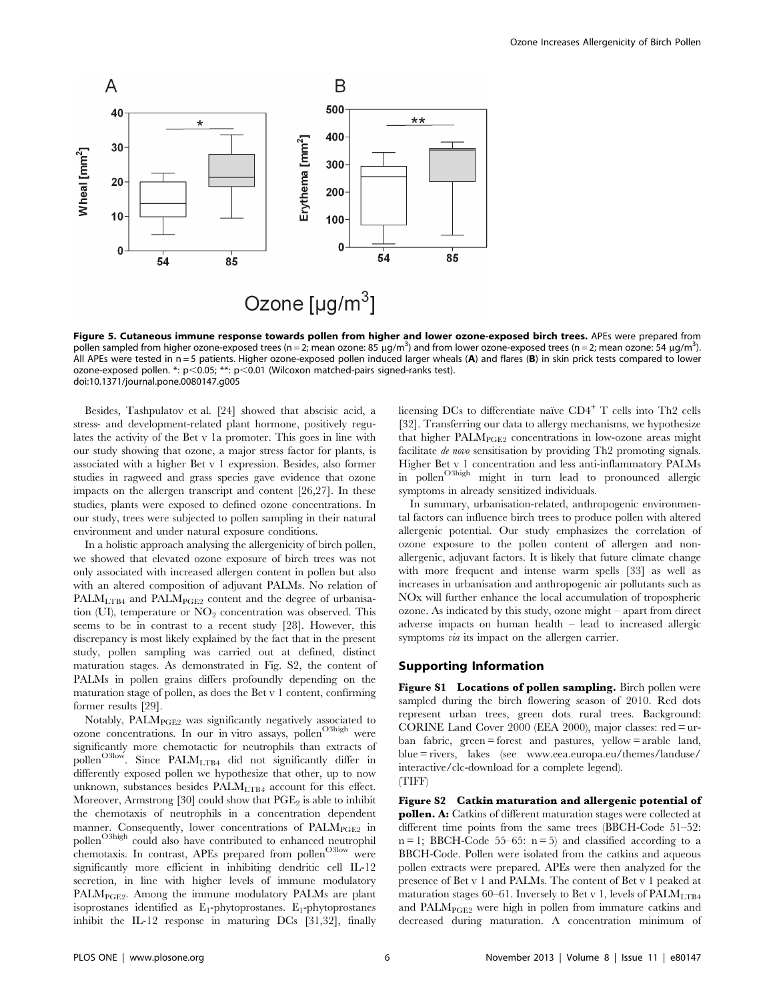

Figure 5. Cutaneous immune response towards pollen from higher and lower ozone-exposed birch trees. APEs were prepared from pollen sampled from higher ozone-exposed trees (n = 2; mean ozone: 85 µg/m<sup>3</sup>) and from lower ozone-exposed trees (n = 2; mean ozone: 54 µg/m<sup>3</sup>). All APEs were tested in  $n = 5$  patients. Higher ozone-exposed pollen induced larger wheals (A) and flares (B) in skin prick tests compared to lower ozone-exposed pollen. \*:  $p$ <0.05; \*\*:  $p$ <0.01 (Wilcoxon matched-pairs signed-ranks test). doi:10.1371/journal.pone.0080147.g005

Besides, Tashpulatov et al. [24] showed that abscisic acid, a stress- and development-related plant hormone, positively regulates the activity of the Bet v 1a promoter. This goes in line with our study showing that ozone, a major stress factor for plants, is associated with a higher Bet v 1 expression. Besides, also former studies in ragweed and grass species gave evidence that ozone impacts on the allergen transcript and content [26,27]. In these studies, plants were exposed to defined ozone concentrations. In our study, trees were subjected to pollen sampling in their natural environment and under natural exposure conditions.

In a holistic approach analysing the allergenicity of birch pollen, we showed that elevated ozone exposure of birch trees was not only associated with increased allergen content in pollen but also with an altered composition of adjuvant PALMs. No relation of  $PALM<sub>LTB4</sub>$  and  $PALM<sub>PGE2</sub>$  content and the degree of urbanisation (UI), temperature or  $NO<sub>2</sub>$  concentration was observed. This seems to be in contrast to a recent study [28]. However, this discrepancy is most likely explained by the fact that in the present study, pollen sampling was carried out at defined, distinct maturation stages. As demonstrated in Fig. S2, the content of PALMs in pollen grains differs profoundly depending on the maturation stage of pollen, as does the Bet v 1 content, confirming former results [29].

Notably,  $\text{PALM}_{\text{PGE2}}$  was significantly negatively associated to ozone concentrations. In our in vitro assays, pollen<sup>O3high</sup> were significantly more chemotactic for neutrophils than extracts of pollen<sup>O3low</sup>. Since PALM<sub>LTB4</sub> did not significantly differ in differently exposed pollen we hypothesize that other, up to now unknown, substances besides  $\text{PALM}_{\text{LTB4}}$  account for this effect. Moreover, Armstrong [30] could show that  $PGE_2$  is able to inhibit the chemotaxis of neutrophils in a concentration dependent manner. Consequently, lower concentrations of  $\text{PALM}_{\text{PGE2}}$  in pollen<sup>O3high</sup> could also have contributed to enhanced neutrophil chemotaxis. In contrast, APEs prepared from pollen<sup>O3low</sup> were significantly more efficient in inhibiting dendritic cell IL-12 secretion, in line with higher levels of immune modulatory PALM<sub>PGE2</sub>. Among the immune modulatory PALMs are plant isoprostanes identified as  $E_1$ -phytoprostanes.  $E_1$ -phytoprostanes inhibit the IL-12 response in maturing DCs [31,32], finally licensing DCs to differentiate naïve  $CD4^+$  T cells into Th2 cells [32]. Transferring our data to allergy mechanisms, we hypothesize that higher  $\text{PALM}_{\text{PGE2}}$  concentrations in low-ozone areas might facilitate de novo sensitisation by providing Th2 promoting signals. Higher Bet v 1 concentration and less anti-inflammatory PALMs in pollen<sup>O3high</sup> might in turn lead to pronounced allergic symptoms in already sensitized individuals.

In summary, urbanisation-related, anthropogenic environmental factors can influence birch trees to produce pollen with altered allergenic potential. Our study emphasizes the correlation of ozone exposure to the pollen content of allergen and nonallergenic, adjuvant factors. It is likely that future climate change with more frequent and intense warm spells [33] as well as increases in urbanisation and anthropogenic air pollutants such as NOx will further enhance the local accumulation of tropospheric ozone. As indicated by this study, ozone might – apart from direct adverse impacts on human health – lead to increased allergic symptoms *via* its impact on the allergen carrier.

## Supporting Information

Figure S1 Locations of pollen sampling. Birch pollen were sampled during the birch flowering season of 2010. Red dots represent urban trees, green dots rural trees. Background: CORINE Land Cover 2000 (EEA 2000), major classes: red = urban fabric, green = forest and pastures, yellow = arable land, blue = rivers, lakes (see www.eea.europa.eu/themes/landuse/ interactive/clc-download for a complete legend). (TIFF)

Figure S2 Catkin maturation and allergenic potential of pollen. A: Catkins of different maturation stages were collected at different time points from the same trees (BBCH-Code 51–52:  $n = 1$ ; BBCH-Code 55–65:  $n = 5$ ) and classified according to a BBCH-Code. Pollen were isolated from the catkins and aqueous pollen extracts were prepared. APEs were then analyzed for the presence of Bet v 1 and PALMs. The content of Bet v 1 peaked at maturation stages 60–61. Inversely to Bet v 1, levels of  $\text{PALM}_{\text{LTB4}}$ and PALMPGE2 were high in pollen from immature catkins and decreased during maturation. A concentration minimum of